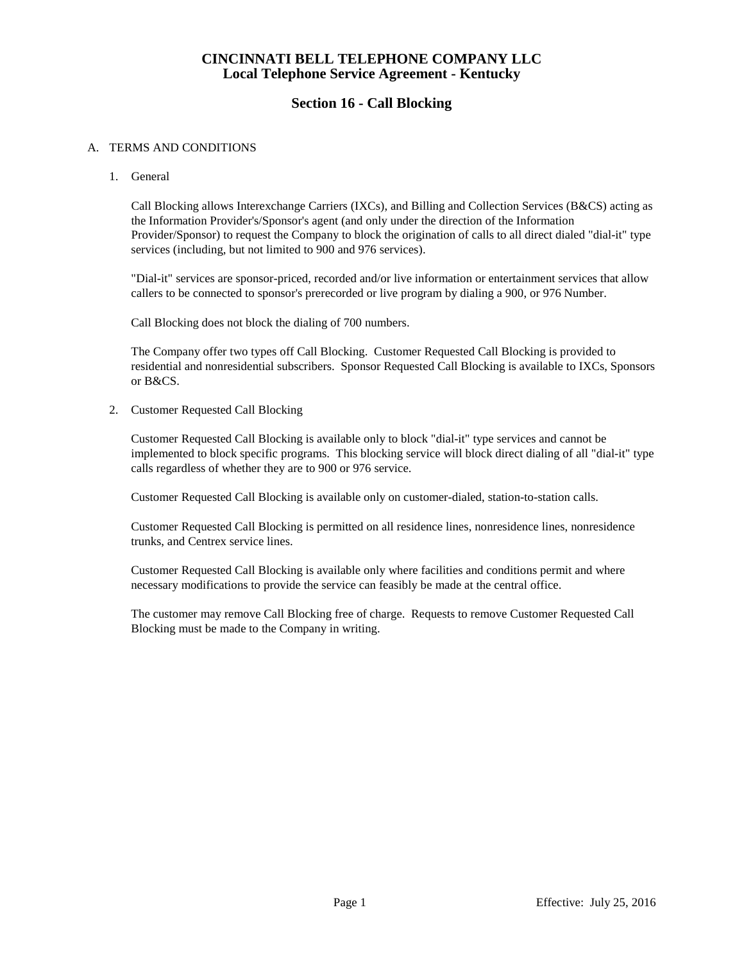# **CINCINNATI BELL TELEPHONE COMPANY LLC Local Telephone Service Agreement - Kentucky**

# **Section 16 - Call Blocking**

### A. TERMS AND CONDITIONS

1. General

Call Blocking allows Interexchange Carriers (IXCs), and Billing and Collection Services (B&CS) acting as the Information Provider's/Sponsor's agent (and only under the direction of the Information Provider/Sponsor) to request the Company to block the origination of calls to all direct dialed "dial-it" type services (including, but not limited to 900 and 976 services).

"Dial-it" services are sponsor-priced, recorded and/or live information or entertainment services that allow callers to be connected to sponsor's prerecorded or live program by dialing a 900, or 976 Number.

Call Blocking does not block the dialing of 700 numbers.

The Company offer two types off Call Blocking. Customer Requested Call Blocking is provided to residential and nonresidential subscribers. Sponsor Requested Call Blocking is available to IXCs, Sponsors or B&CS.

2. Customer Requested Call Blocking

Customer Requested Call Blocking is available only to block "dial-it" type services and cannot be implemented to block specific programs. This blocking service will block direct dialing of all "dial-it" type calls regardless of whether they are to 900 or 976 service.

Customer Requested Call Blocking is available only on customer-dialed, station-to-station calls.

Customer Requested Call Blocking is permitted on all residence lines, nonresidence lines, nonresidence trunks, and Centrex service lines.

Customer Requested Call Blocking is available only where facilities and conditions permit and where necessary modifications to provide the service can feasibly be made at the central office.

The customer may remove Call Blocking free of charge. Requests to remove Customer Requested Call Blocking must be made to the Company in writing.